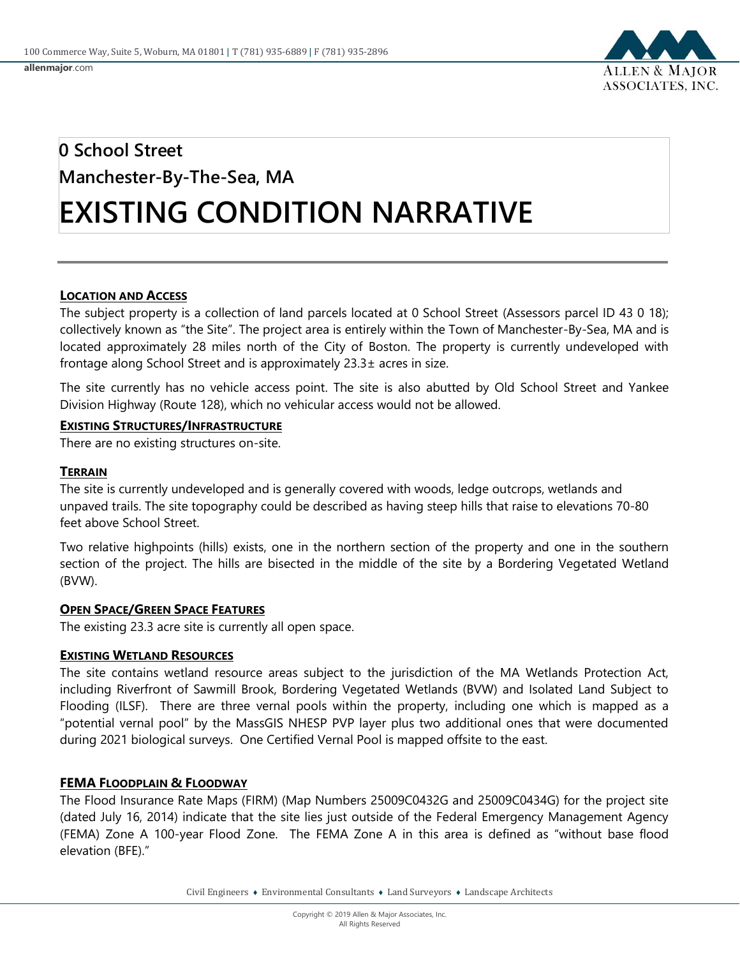

# **0 School Street Manchester-By-The-Sea, MA EXISTING CONDITION NARRATIVE**

## **LOCATION AND ACCESS**

The subject property is a collection of land parcels located at 0 School Street (Assessors parcel ID 43 0 18); collectively known as "the Site". The project area is entirely within the Town of Manchester-By-Sea, MA and is located approximately 28 miles north of the City of Boston. The property is currently undeveloped with frontage along School Street and is approximately 23.3± acres in size.

The site currently has no vehicle access point. The site is also abutted by Old School Street and Yankee Division Highway (Route 128), which no vehicular access would not be allowed.

#### **EXISTING STRUCTURES/INFRASTRUCTURE**

There are no existing structures on-site.

### **TERRAIN**

The site is currently undeveloped and is generally covered with woods, ledge outcrops, wetlands and unpaved trails. The site topography could be described as having steep hills that raise to elevations 70-80 feet above School Street.

Two relative highpoints (hills) exists, one in the northern section of the property and one in the southern section of the project. The hills are bisected in the middle of the site by a Bordering Vegetated Wetland (BVW).

#### **OPEN SPACE/GREEN SPACE FEATURES**

The existing 23.3 acre site is currently all open space.

#### **EXISTING WETLAND RESOURCES**

The site contains wetland resource areas subject to the jurisdiction of the MA Wetlands Protection Act, including Riverfront of Sawmill Brook, Bordering Vegetated Wetlands (BVW) and Isolated Land Subject to Flooding (ILSF). There are three vernal pools within the property, including one which is mapped as a "potential vernal pool" by the MassGIS NHESP PVP layer plus two additional ones that were documented during 2021 biological surveys. One Certified Vernal Pool is mapped offsite to the east.

#### **FEMA FLOODPLAIN & FLOODWAY**

The Flood Insurance Rate Maps (FIRM) (Map Numbers 25009C0432G and 25009C0434G) for the project site (dated July 16, 2014) indicate that the site lies just outside of the Federal Emergency Management Agency (FEMA) Zone A 100-year Flood Zone. The FEMA Zone A in this area is defined as "without base flood elevation (BFE)."

Civil Engineers ♦ Environmental Consultants ♦ Land Surveyors ♦ Landscape Architects